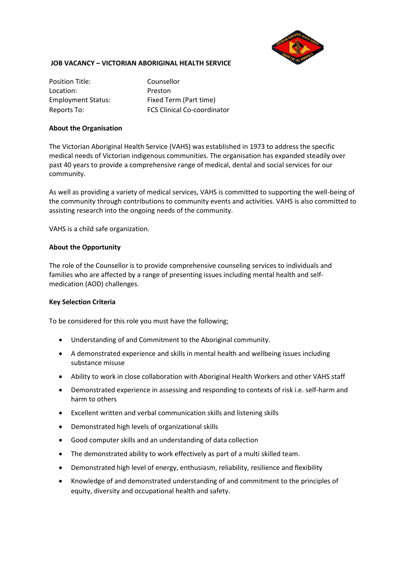

### **JOB VACANCY – VICTORIAN ABORIGINAL HEALTH SERVICE**

Position Title: Counsellor Location: Preston

Employment Status: Fixed Term (Part time) Reports To: FCS Clinical Co-coordinator

### **About the Organisation**

The Victorian Aboriginal Health Service (VAHS) was established in 1973 to address the specific medical needs of Victorian indigenous communities. The organisation has expanded steadily over past 40 years to provide a comprehensive range of medical, dental and social services for our community.

As well as providing a variety of medical services, VAHS is committed to supporting the well-being of the community through contributions to community events and activities. VAHS is also committed to assisting research into the ongoing needs of the community.

VAHS is a child safe organization.

### **About the Opportunity**

The role of the Counsellor is to provide comprehensive counseling services to individuals and families who are affected by a range of presenting issues including mental health and selfmedication (AOD) challenges.

## **Key Selection Criteria**

To be considered for this role you must have the following;

- Understanding of and Commitment to the Aboriginal community.
- A demonstrated experience and skills in mental health and wellbeing issues including substance misuse
- Ability to work in close collaboration with Aboriginal Health Workers and other VAHS staff
- Demonstrated experience in assessing and responding to contexts of risk i.e. self-harm and harm to others
- Excellent written and verbal communication skills and listening skills
- Demonstrated high levels of organizational skills
- Good computer skills and an understanding of data collection
- The demonstrated ability to work effectively as part of a multi skilled team.
- Demonstrated high level of energy, enthusiasm, reliability, resilience and flexibility
- Knowledge of and demonstrated understanding of and commitment to the principles of equity, diversity and occupational health and safety.